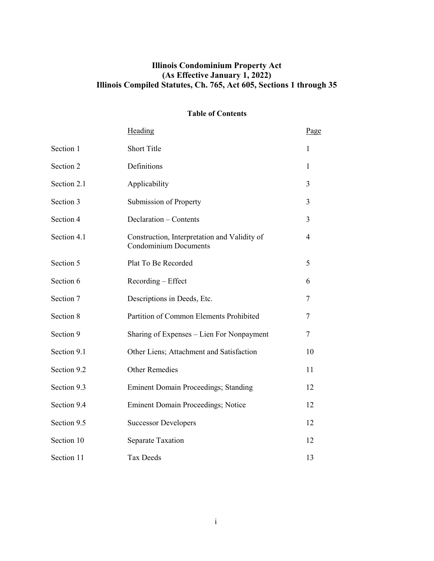# **Illinois Condominium Property Act (As Effective January 1, 2022) Illinois Compiled Statutes, Ch. 765, Act 605, Sections 1 through 35**

# **Table of Contents**

|             | Heading                                                                      | Page |
|-------------|------------------------------------------------------------------------------|------|
| Section 1   | <b>Short Title</b>                                                           | 1    |
| Section 2   | Definitions                                                                  | 1    |
| Section 2.1 | Applicability                                                                | 3    |
| Section 3   | Submission of Property                                                       | 3    |
| Section 4   | Declaration - Contents                                                       | 3    |
| Section 4.1 | Construction, Interpretation and Validity of<br><b>Condominium Documents</b> | 4    |
| Section 5   | Plat To Be Recorded                                                          | 5    |
| Section 6   | Recording - Effect                                                           | 6    |
| Section 7   | Descriptions in Deeds, Etc.                                                  | 7    |
| Section 8   | Partition of Common Elements Prohibited                                      | 7    |
| Section 9   | Sharing of Expenses - Lien For Nonpayment                                    | 7    |
| Section 9.1 | Other Liens; Attachment and Satisfaction                                     | 10   |
| Section 9.2 | <b>Other Remedies</b>                                                        | 11   |
| Section 9.3 | <b>Eminent Domain Proceedings; Standing</b>                                  | 12   |
| Section 9.4 | <b>Eminent Domain Proceedings; Notice</b>                                    | 12   |
| Section 9.5 | <b>Successor Developers</b>                                                  | 12   |
| Section 10  | Separate Taxation                                                            | 12   |
| Section 11  | <b>Tax Deeds</b>                                                             | 13   |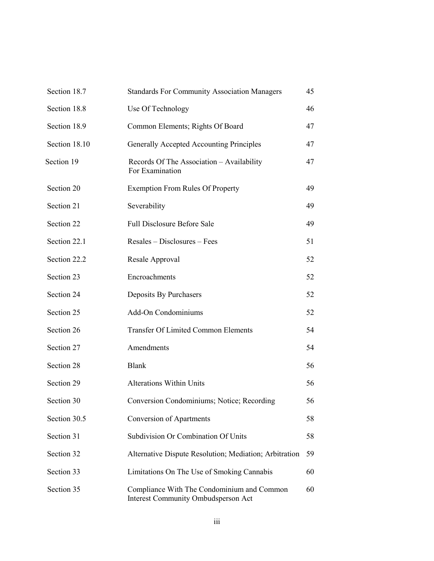| Section 18.7  | <b>Standards For Community Association Managers</b>                               | 45 |
|---------------|-----------------------------------------------------------------------------------|----|
| Section 18.8  | Use Of Technology                                                                 | 46 |
| Section 18.9  | Common Elements; Rights Of Board                                                  | 47 |
| Section 18.10 | Generally Accepted Accounting Principles                                          | 47 |
| Section 19    | Records Of The Association - Availability<br>For Examination                      | 47 |
| Section 20    | <b>Exemption From Rules Of Property</b>                                           | 49 |
| Section 21    | Severability                                                                      | 49 |
| Section 22    | <b>Full Disclosure Before Sale</b>                                                | 49 |
| Section 22.1  | Resales – Disclosures – Fees                                                      | 51 |
| Section 22.2  | Resale Approval                                                                   | 52 |
| Section 23    | Encroachments                                                                     | 52 |
| Section 24    | Deposits By Purchasers                                                            | 52 |
| Section 25    | Add-On Condominiums                                                               | 52 |
| Section 26    | <b>Transfer Of Limited Common Elements</b>                                        | 54 |
| Section 27    | Amendments                                                                        | 54 |
| Section 28    | <b>Blank</b>                                                                      | 56 |
| Section 29    | <b>Alterations Within Units</b>                                                   | 56 |
| Section 30    | Conversion Condominiums; Notice; Recording                                        | 56 |
| Section 30.5  | <b>Conversion of Apartments</b>                                                   | 58 |
| Section 31    | Subdivision Or Combination Of Units                                               | 58 |
| Section 32    | Alternative Dispute Resolution; Mediation; Arbitration                            | 59 |
| Section 33    | Limitations On The Use of Smoking Cannabis                                        | 60 |
| Section 35    | Compliance With The Condominium and Common<br>Interest Community Ombudsperson Act | 60 |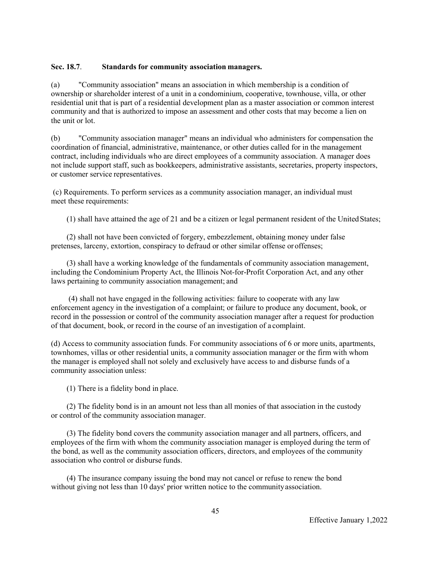# **Sec. 18.7**. **Standards for community association managers.**

(a) "Community association" means an association in which membership is a condition of ownership or shareholder interest of a unit in a condominium, cooperative, townhouse, villa, or other residential unit that is part of a residential development plan as a master association or common interest community and that is authorized to impose an assessment and other costs that may become a lien on the unit or lot.

(b) "Community association manager" means an individual who administers for compensation the coordination of financial, administrative, maintenance, or other duties called for in the management contract, including individuals who are direct employees of a community association. A manager does not include support staff, such as bookkeepers, administrative assistants, secretaries, property inspectors, or customer service representatives.

(c) Requirements. To perform services as a community association manager, an individual must meet these requirements:

(1) shall have attained the age of 21 and be a citizen or legal permanent resident of the UnitedStates;

(2) shall not have been convicted of forgery, embezzlement, obtaining money under false pretenses, larceny, extortion, conspiracy to defraud or other similar offense or offenses;

(3) shall have a working knowledge of the fundamentals of community association management, including the Condominium Property Act, the Illinois Not-for-Profit Corporation Act, and any other laws pertaining to community association management; and

(4) shall not have engaged in the following activities: failure to cooperate with any law enforcement agency in the investigation of a complaint; or failure to produce any document, book, or record in the possession or control of the community association manager after a request for production of that document, book, or record in the course of an investigation of a complaint.

(d) Access to community association funds. For community associations of 6 or more units, apartments, townhomes, villas or other residential units, a community association manager or the firm with whom the manager is employed shall not solely and exclusively have access to and disburse funds of a community association unless:

(1) There is a fidelity bond in place.

(2) The fidelity bond is in an amount not less than all monies of that association in the custody or control of the community association manager.

(3) The fidelity bond covers the community association manager and all partners, officers, and employees of the firm with whom the community association manager is employed during the term of the bond, as well as the community association officers, directors, and employees of the community association who control or disburse funds.

(4) The insurance company issuing the bond may not cancel or refuse to renew the bond without giving not less than 10 days' prior written notice to the communityassociation.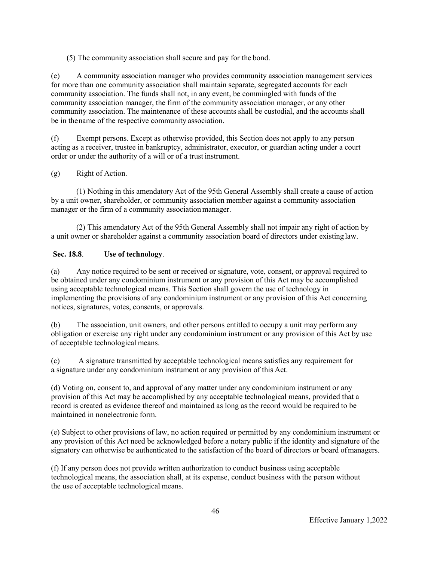(5) The community association shall secure and pay for the bond.

(e) A community association manager who provides community association management services for more than one community association shall maintain separate, segregated accounts for each community association. The funds shall not, in any event, be commingled with funds of the community association manager, the firm of the community association manager, or any other community association. The maintenance of these accounts shall be custodial, and the accounts shall be in thename of the respective community association.

(f) Exempt persons. Except as otherwise provided, this Section does not apply to any person acting as a receiver, trustee in bankruptcy, administrator, executor, or guardian acting under a court order or under the authority of a will or of a trust instrument.

# (g) Right of Action.

(1) Nothing in this amendatory Act of the 95th General Assembly shall create a cause of action by a unit owner, shareholder, or community association member against a community association manager or the firm of a community association manager.

(2) This amendatory Act of the 95th General Assembly shall not impair any right of action by a unit owner or shareholder against a community association board of directors under existing law.

# **Sec. 18.8**. **Use of technology**.

(a) Any notice required to be sent or received or signature, vote, consent, or approval required to be obtained under any condominium instrument or any provision of this Act may be accomplished using acceptable technological means. This Section shall govern the use of technology in implementing the provisions of any condominium instrument or any provision of this Act concerning notices, signatures, votes, consents, or approvals.

(b) The association, unit owners, and other persons entitled to occupy a unit may perform any obligation or exercise any right under any condominium instrument or any provision of this Act by use of acceptable technological means.

(c) A signature transmitted by acceptable technological means satisfies any requirement for a signature under any condominium instrument or any provision of this Act.

(d) Voting on, consent to, and approval of any matter under any condominium instrument or any provision of this Act may be accomplished by any acceptable technological means, provided that a record is created as evidence thereof and maintained as long as the record would be required to be maintained in nonelectronic form.

(e) Subject to other provisions of law, no action required or permitted by any condominium instrument or any provision of this Act need be acknowledged before a notary public if the identity and signature of the signatory can otherwise be authenticated to the satisfaction of the board of directors or board ofmanagers.

(f) If any person does not provide written authorization to conduct business using acceptable technological means, the association shall, at its expense, conduct business with the person without the use of acceptable technological means.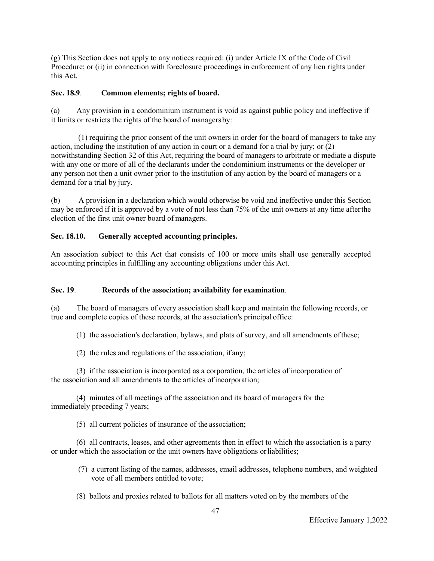(g) This Section does not apply to any notices required: (i) under Article IX of the Code of Civil Procedure; or (ii) in connection with foreclosure proceedings in enforcement of any lien rights under this Act.

### **Sec. 18.9**. **Common elements; rights of board.**

(a) Any provision in a condominium instrument is void as against public policy and ineffective if it limits or restricts the rights of the board of managers by:

(1) requiring the prior consent of the unit owners in order for the board of managers to take any action, including the institution of any action in court or a demand for a trial by jury; or (2) notwithstanding Section 32 of this Act, requiring the board of managers to arbitrate or mediate a dispute with any one or more of all of the declarants under the condominium instruments or the developer or any person not then a unit owner prior to the institution of any action by the board of managers or a demand for a trial by jury.

(b) A provision in a declaration which would otherwise be void and ineffective under this Section may be enforced if it is approved by a vote of not less than 75% of the unit owners at any time afterthe election of the first unit owner board of managers.

#### **Sec. 18.10. Generally accepted accounting principles.**

An association subject to this Act that consists of 100 or more units shall use generally accepted accounting principles in fulfilling any accounting obligations under this Act.

#### **Sec. 19**. **Records of the association; availability for examination**.

(a) The board of managers of every association shall keep and maintain the following records, or true and complete copies of these records, at the association's principal office:

(1) the association's declaration, bylaws, and plats of survey, and all amendments of these;

(2) the rules and regulations of the association, if any;

(3) if the association is incorporated as a corporation, the articles of incorporation of the association and all amendments to the articles ofincorporation;

(4) minutes of all meetings of the association and its board of managers for the immediately preceding 7 years;

(5) all current policies of insurance of the association;

(6) all contracts, leases, and other agreements then in effect to which the association is a party or under which the association or the unit owners have obligations or liabilities;

- (7) a current listing of the names, addresses, email addresses, telephone numbers, and weighted vote of all members entitled tovote;
- (8) ballots and proxies related to ballots for all matters voted on by the members of the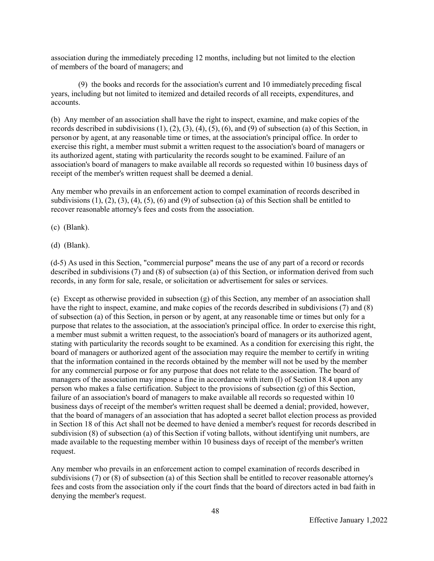association during the immediately preceding 12 months, including but not limited to the election of members of the board of managers; and

(9) the books and records for the association's current and 10 immediately preceding fiscal years, including but not limited to itemized and detailed records of all receipts, expenditures, and accounts.

(b) Any member of an association shall have the right to inspect, examine, and make copies of the records described in subdivisions (1), (2), (3), (4), (5), (6), and (9) of subsection (a) of this Section, in person or by agent, at any reasonable time or times, at the association's principal office. In order to exercise this right, a member must submit a written request to the association's board of managers or its authorized agent, stating with particularity the records sought to be examined. Failure of an association's board of managers to make available all records so requested within 10 business days of receipt of the member's written request shall be deemed a denial.

Any member who prevails in an enforcement action to compel examination of records described in subdivisions  $(1)$ ,  $(2)$ ,  $(3)$ ,  $(4)$ ,  $(5)$ ,  $(6)$  and  $(9)$  of subsection (a) of this Section shall be entitled to recover reasonable attorney's fees and costs from the association.

- (c) (Blank).
- (d) (Blank).

(d-5) As used in this Section, "commercial purpose" means the use of any part of a record or records described in subdivisions (7) and (8) of subsection (a) of this Section, or information derived from such records, in any form for sale, resale, or solicitation or advertisement for sales or services.

(e) Except as otherwise provided in subsection (g) of this Section, any member of an association shall have the right to inspect, examine, and make copies of the records described in subdivisions (7) and (8) of subsection (a) of this Section, in person or by agent, at any reasonable time or times but only for a purpose that relates to the association, at the association's principal office. In order to exercise this right, a member must submit a written request, to the association's board of managers or its authorized agent, stating with particularity the records sought to be examined. As a condition for exercising this right, the board of managers or authorized agent of the association may require the member to certify in writing that the information contained in the records obtained by the member will not be used by the member for any commercial purpose or for any purpose that does not relate to the association. The board of managers of the association may impose a fine in accordance with item (l) of Section 18.4 upon any person who makes a false certification. Subject to the provisions of subsection (g) of this Section, failure of an association's board of managers to make available all records so requested within 10 business days of receipt of the member's written request shall be deemed a denial; provided, however, that the board of managers of an association that has adopted a secret ballot election process as provided in Section 18 of this Act shall not be deemed to have denied a member's request for records described in subdivision (8) of subsection (a) of this Section if voting ballots, without identifying unit numbers, are made available to the requesting member within 10 business days of receipt of the member's written request.

Any member who prevails in an enforcement action to compel examination of records described in subdivisions (7) or (8) of subsection (a) of this Section shall be entitled to recover reasonable attorney's fees and costs from the association only if the court finds that the board of directors acted in bad faith in denying the member's request.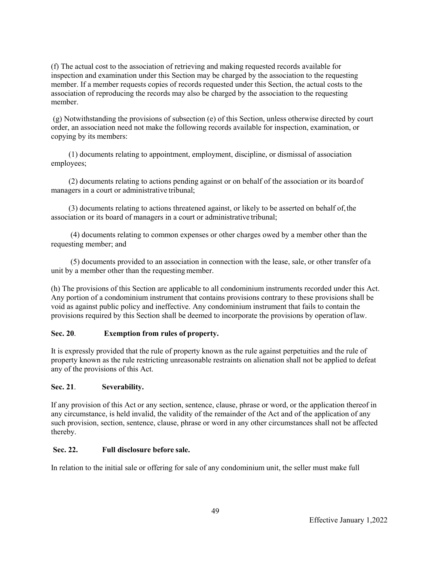(f) The actual cost to the association of retrieving and making requested records available for inspection and examination under this Section may be charged by the association to the requesting member. If a member requests copies of records requested under this Section, the actual costs to the association of reproducing the records may also be charged by the association to the requesting member.

(g) Notwithstanding the provisions of subsection (e) of this Section, unless otherwise directed by court order, an association need not make the following records available for inspection, examination, or copying by its members:

(1) documents relating to appointment, employment, discipline, or dismissal of association employees;

(2) documents relating to actions pending against or on behalf of the association or its board of managers in a court or administrative tribunal;

(3) documents relating to actions threatened against, or likely to be asserted on behalf of, the association or its board of managers in a court or administrative tribunal;

(4) documents relating to common expenses or other charges owed by a member other than the requesting member; and

(5) documents provided to an association in connection with the lease, sale, or other transfer ofa unit by a member other than the requesting member.

(h) The provisions of this Section are applicable to all condominium instruments recorded under this Act. Any portion of a condominium instrument that contains provisions contrary to these provisions shall be void as against public policy and ineffective. Any condominium instrument that fails to contain the provisions required by this Section shall be deemed to incorporate the provisions by operation of law.

# **Sec. 20**. **Exemption from rules of property.**

It is expressly provided that the rule of property known as the rule against perpetuities and the rule of property known as the rule restricting unreasonable restraints on alienation shall not be applied to defeat any of the provisions of this Act.

#### **Sec. 21**. **Severability.**

If any provision of this Act or any section, sentence, clause, phrase or word, or the application thereof in any circumstance, is held invalid, the validity of the remainder of the Act and of the application of any such provision, section, sentence, clause, phrase or word in any other circumstances shall not be affected thereby.

#### **Sec. 22. Full disclosure before sale.**

In relation to the initial sale or offering for sale of any condominium unit, the seller must make full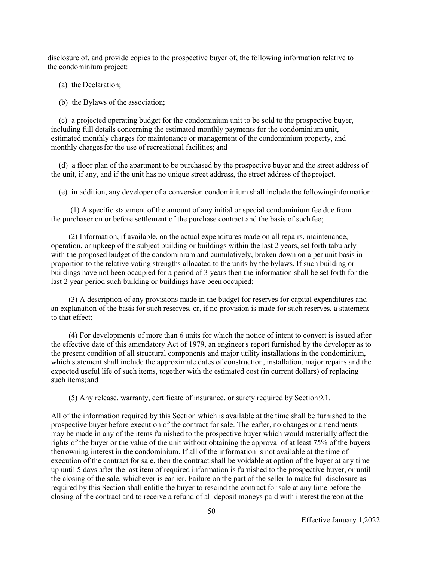disclosure of, and provide copies to the prospective buyer of, the following information relative to the condominium project:

(a) the Declaration;

(b) the Bylaws of the association;

(c) a projected operating budget for the condominium unit to be sold to the prospective buyer, including full details concerning the estimated monthly payments for the condominium unit, estimated monthly charges for maintenance or management of the condominium property, and monthly charges for the use of recreational facilities; and

(d) a floor plan of the apartment to be purchased by the prospective buyer and the street address of the unit, if any, and if the unit has no unique street address, the street address of the project.

(e) in addition, any developer of a conversion condominium shall include the following information:

(1) A specific statement of the amount of any initial or special condominium fee due from the purchaser on or before settlement of the purchase contract and the basis of such fee;

(2) Information, if available, on the actual expenditures made on all repairs, maintenance, operation, or upkeep of the subject building or buildings within the last 2 years, set forth tabularly with the proposed budget of the condominium and cumulatively, broken down on a per unit basis in proportion to the relative voting strengths allocated to the units by the bylaws. If such building or buildings have not been occupied for a period of 3 years then the information shall be set forth for the last 2 year period such building or buildings have been occupied;

(3) A description of any provisions made in the budget for reserves for capital expenditures and an explanation of the basis for such reserves, or, if no provision is made for such reserves, a statement to that effect;

(4) For developments of more than 6 units for which the notice of intent to convert is issued after the effective date of this amendatory Act of 1979, an engineer's report furnished by the developer as to the present condition of all structural components and major utility installations in the condominium, which statement shall include the approximate dates of construction, installation, major repairs and the expected useful life of such items, together with the estimated cost (in current dollars) of replacing such items;and

(5) Any release, warranty, certificate of insurance, or surety required by Section 9.1.

All of the information required by this Section which is available at the time shall be furnished to the prospective buyer before execution of the contract for sale. Thereafter, no changes or amendments may be made in any of the items furnished to the prospective buyer which would materially affect the rights of the buyer or the value of the unit without obtaining the approval of at least 75% of the buyers then owning interest in the condominium. If all of the information is not available at the time of execution of the contract for sale, then the contract shall be voidable at option of the buyer at any time up until 5 days after the last item of required information is furnished to the prospective buyer, or until the closing of the sale, whichever is earlier. Failure on the part of the seller to make full disclosure as required by this Section shall entitle the buyer to rescind the contract for sale at any time before the closing of the contract and to receive a refund of all deposit moneys paid with interest thereon at the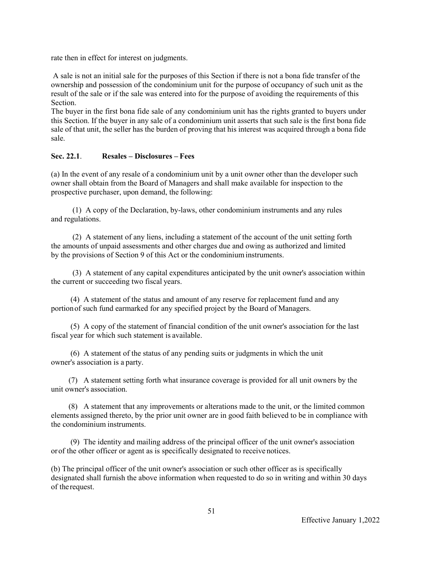rate then in effect for interest on judgments.

A sale is not an initial sale for the purposes of this Section if there is not a bona fide transfer of the ownership and possession of the condominium unit for the purpose of occupancy of such unit as the result of the sale or if the sale was entered into for the purpose of avoiding the requirements of this Section.

The buyer in the first bona fide sale of any condominium unit has the rights granted to buyers under this Section. If the buyer in any sale of a condominium unit asserts that such sale is the first bona fide sale of that unit, the seller has the burden of proving that his interest was acquired through a bona fide sale.

# **Sec. 22.1**. **Resales – Disclosures – Fees**

(a) In the event of any resale of a condominium unit by a unit owner other than the developer such owner shall obtain from the Board of Managers and shall make available for inspection to the prospective purchaser, upon demand, the following:

(1) A copy of the Declaration, by-laws, other condominium instruments and any rules and regulations.

(2) A statement of any liens, including a statement of the account of the unit setting forth the amounts of unpaid assessments and other charges due and owing as authorized and limited by the provisions of Section 9 of this Act or the condominium instruments.

(3) A statement of any capital expenditures anticipated by the unit owner's association within the current or succeeding two fiscal years.

(4) A statement of the status and amount of any reserve for replacement fund and any portion of such fund earmarked for any specified project by the Board of Managers.

(5) A copy of the statement of financial condition of the unit owner's association for the last fiscal year for which such statement is available.

(6) A statement of the status of any pending suits or judgments in which the unit owner's association is a party.

(7) A statement setting forth what insurance coverage is provided for all unit owners by the unit owner's association.

(8) A statement that any improvements or alterations made to the unit, or the limited common elements assigned thereto, by the prior unit owner are in good faith believed to be in compliance with the condominium instruments.

(9) The identity and mailing address of the principal officer of the unit owner's association or of the other officer or agent as is specifically designated to receive notices.

(b) The principal officer of the unit owner's association or such other officer as is specifically designated shall furnish the above information when requested to do so in writing and within 30 days of therequest.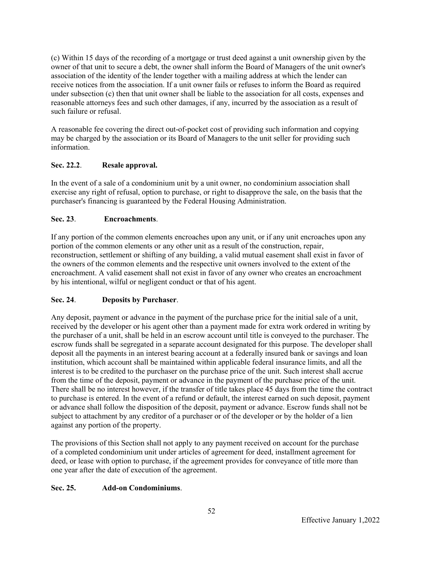(c) Within 15 days of the recording of a mortgage or trust deed against a unit ownership given by the owner of that unit to secure a debt, the owner shall inform the Board of Managers of the unit owner's association of the identity of the lender together with a mailing address at which the lender can receive notices from the association. If a unit owner fails or refuses to inform the Board as required under subsection (c) then that unit owner shall be liable to the association for all costs, expenses and reasonable attorneys fees and such other damages, if any, incurred by the association as a result of such failure or refusal.

A reasonable fee covering the direct out-of-pocket cost of providing such information and copying may be charged by the association or its Board of Managers to the unit seller for providing such information.

# **Sec. 22.2**. **Resale approval.**

In the event of a sale of a condominium unit by a unit owner, no condominium association shall exercise any right of refusal, option to purchase, or right to disapprove the sale, on the basis that the purchaser's financing is guaranteed by the Federal Housing Administration.

# **Sec. 23**. **Encroachments**.

If any portion of the common elements encroaches upon any unit, or if any unit encroaches upon any portion of the common elements or any other unit as a result of the construction, repair, reconstruction, settlement or shifting of any building, a valid mutual easement shall exist in favor of the owners of the common elements and the respective unit owners involved to the extent of the encroachment. A valid easement shall not exist in favor of any owner who creates an encroachment by his intentional, wilful or negligent conduct or that of his agent.

# **Sec. 24**. **Deposits by Purchaser**.

Any deposit, payment or advance in the payment of the purchase price for the initial sale of a unit, received by the developer or his agent other than a payment made for extra work ordered in writing by the purchaser of a unit, shall be held in an escrow account until title is conveyed to the purchaser. The escrow funds shall be segregated in a separate account designated for this purpose. The developer shall deposit all the payments in an interest bearing account at a federally insured bank or savings and loan institution, which account shall be maintained within applicable federal insurance limits, and all the interest is to be credited to the purchaser on the purchase price of the unit. Such interest shall accrue from the time of the deposit, payment or advance in the payment of the purchase price of the unit. There shall be no interest however, if the transfer of title takes place 45 days from the time the contract to purchase is entered. In the event of a refund or default, the interest earned on such deposit, payment or advance shall follow the disposition of the deposit, payment or advance. Escrow funds shall not be subject to attachment by any creditor of a purchaser or of the developer or by the holder of a lien against any portion of the property.

The provisions of this Section shall not apply to any payment received on account for the purchase of a completed condominium unit under articles of agreement for deed, installment agreement for deed, or lease with option to purchase, if the agreement provides for conveyance of title more than one year after the date of execution of the agreement.

# **Sec. 25. Add-on Condominiums**.